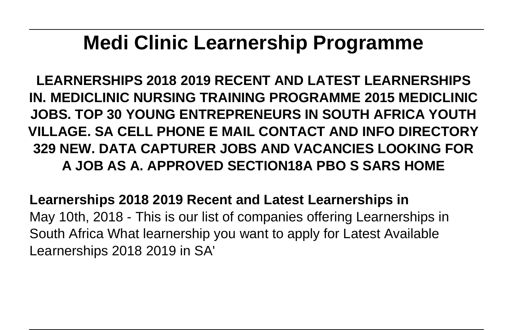## **Medi Clinic Learnership Programme**

**LEARNERSHIPS 2018 2019 RECENT AND LATEST LEARNERSHIPS IN. MEDICLINIC NURSING TRAINING PROGRAMME 2015 MEDICLINIC JOBS. TOP 30 YOUNG ENTREPRENEURS IN SOUTH AFRICA YOUTH VILLAGE. SA CELL PHONE E MAIL CONTACT AND INFO DIRECTORY 329 NEW. DATA CAPTURER JOBS AND VACANCIES LOOKING FOR A JOB AS A. APPROVED SECTION18A PBO S SARS HOME**

**Learnerships 2018 2019 Recent and Latest Learnerships in** May 10th, 2018 - This is our list of companies offering Learnerships in South Africa What learnership you want to apply for Latest Available Learnerships 2018 2019 in SA'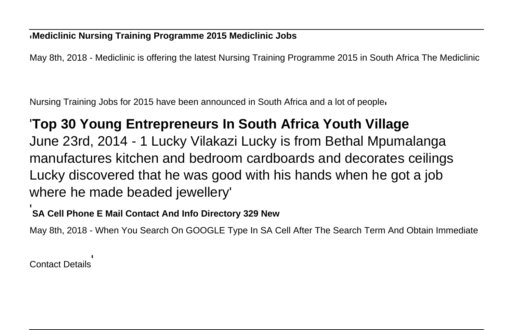## '**Mediclinic Nursing Training Programme 2015 Mediclinic Jobs**

May 8th, 2018 - Mediclinic is offering the latest Nursing Training Programme 2015 in South Africa The Mediclinic

Nursing Training Jobs for 2015 have been announced in South Africa and a lot of people'

## '**Top 30 Young Entrepreneurs In South Africa Youth Village**

June 23rd, 2014 - 1 Lucky Vilakazi Lucky is from Bethal Mpumalanga manufactures kitchen and bedroom cardboards and decorates ceilings Lucky discovered that he was good with his hands when he got a job where he made beaded jewellery'

## '**SA Cell Phone E Mail Contact And Info Directory 329 New**

May 8th, 2018 - When You Search On GOOGLE Type In SA Cell After The Search Term And Obtain Immediate

Contact Details'